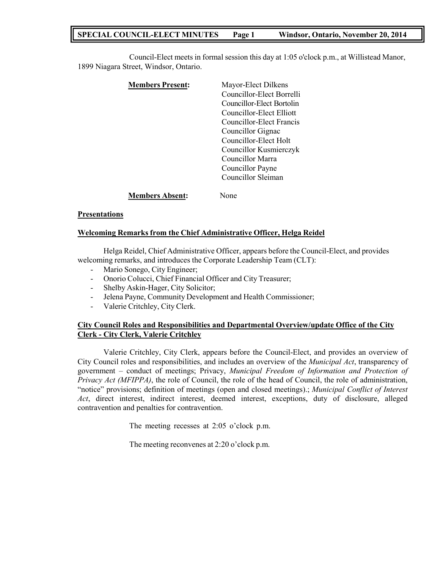# **SPECIAL COUNCIL-ELECT MINUTES Page 1 Windsor, Ontario, November 20, 2014**

Council-Elect meets in formal session this day at 1:05 o'clock p.m., at Willistead Manor, 1899 Niagara Street, Windsor, Ontario.

| <b>Members Present:</b> | Mayor-Elect Dilkens       |
|-------------------------|---------------------------|
|                         | Councillor-Elect Borrelli |
|                         | Councillor-Elect Bortolin |
|                         | Councillor-Elect Elliott  |
|                         | Councillor-Elect Francis  |
|                         | Councillor Gignac         |
|                         | Councillor-Elect Holt     |
|                         | Councillor Kusmierczyk    |
|                         | Councillor Marra          |
|                         | Councillor Payne          |
|                         | Councillor Sleiman        |
| <b>Members Absent:</b>  | Jone                      |

### **Presentations**

### **Welcoming Remarks from the Chief Administrative Officer, Helga Reidel**

Helga Reidel, Chief Administrative Officer, appears before the Council-Elect, and provides welcoming remarks, and introduces the Corporate Leadership Team (CLT):

- Mario Sonego, City Engineer;
- Onorio Colucci, Chief Financial Officer and City Treasurer;
- Shelby Askin-Hager, City Solicitor;
- Jelena Payne, Community Development and Health Commissioner;
- Valerie Critchley, City Clerk.

## **City Council Roles and Responsibilities and Departmental Overview/update Office of the City Clerk - City Clerk, Valerie Critchley**

Valerie Critchley, City Clerk, appears before the Council-Elect, and provides an overview of City Council roles and responsibilities, and includes an overview of the *Municipal Act*, transparency of government – conduct of meetings; Privacy, *Municipal Freedom of Information and Protection of Privacy Act (MFIPPA)*, the role of Council, the role of the head of Council, the role of administration, "notice" provisions; definition of meetings (open and closed meetings).; *Municipal Conflict of Interest Act*, direct interest, indirect interest, deemed interest, exceptions, duty of disclosure, alleged contravention and penalties for contravention.

The meeting recesses at 2:05 o'clock p.m.

The meeting reconvenes at 2:20 o'clock p.m.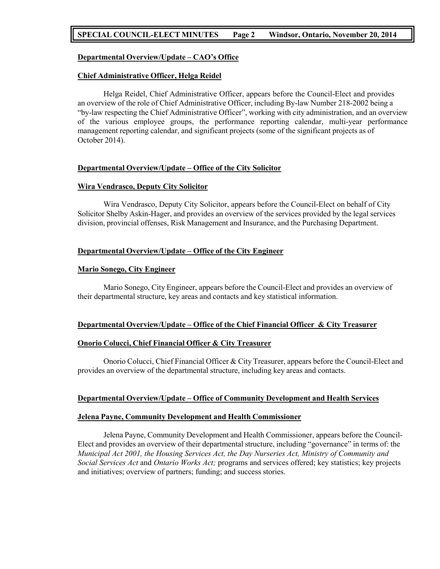## **SPECIAL COUNCIL-ELECT MINUTES Page 2 Windsor, Ontario, November 20, 2014**

## **Departmental Overview/Update – CAO's Office**

#### **Chief Administrative Officer, Helga Reidel**

Helga Reidel, Chief Administrative Officer, appears before the Council-Elect and provides an overview of the role of Chief Administrative Officer, including By-law Number 218-2002 being a "by-law respecting the Chief Administrative Officer", working with city administration, and an overview of the various employee groups, the performance reporting calendar, multi-year performance management reporting calendar, and significant projects (some of the significant projects as of October 2014).

### **Departmental Overview/Update – Office of the City Solicitor**

#### **Wira Vendrasco, Deputy City Solicitor**

Wira Vendrasco, Deputy City Solicitor, appears before the Council-Elect on behalf of City Solicitor Shelby Askin-Hager, and provides an overview of the services provided by the legal services division, provincial offenses, Risk Management and Insurance, and the Purchasing Department.

### **Departmental Overview/Update – Office of the City Engineer**

#### **Mario Sonego, City Engineer**

Mario Sonego, City Engineer, appears before the Council-Elect and provides an overview of their departmental structure, key areas and contacts and key statistical information.

### **Departmental Overview/Update – Office of the Chief Financial Officer & City Treasurer**

#### **Onorio Colucci, Chief Financial Officer & City Treasurer**

Onorio Colucci, Chief Financial Officer & City Treasurer, appears before the Council-Elect and provides an overview of the departmental structure, including key areas and contacts.

### **Departmental Overview/Update – Office of Community Development and Health Services**

#### **Jelena Payne, Community Development and Health Commissioner**

Jelena Payne, Community Development and Health Commissioner, appears before the Council-Elect and provides an overview of their departmental structure, including "governance" in terms of: the *Municipal Act 2001, the Housing Services Act, the Day Nurseries Act, Ministry of Community and Social Services Act* and *Ontario Works Act;* programs and services offered; key statistics; key projects and initiatives; overview of partners; funding; and success stories.